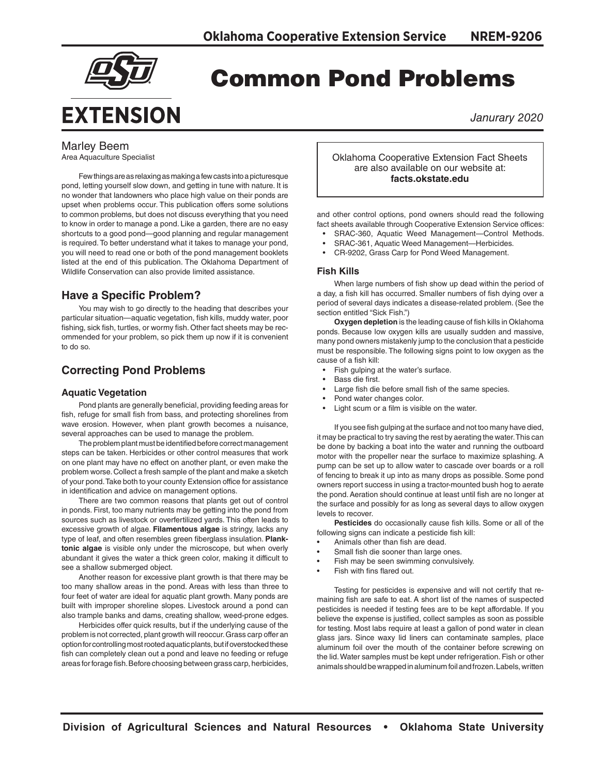

# Common Pond Problems

*Janurary 2020*

# Marley Beem

Area Aquaculture Specialist

Few things are as relaxing as making a few casts into a picturesque pond, letting yourself slow down, and getting in tune with nature. It is no wonder that landowners who place high value on their ponds are upset when problems occur. This publication offers some solutions to common problems, but does not discuss everything that you need to know in order to manage a pond. Like a garden, there are no easy shortcuts to a good pond—good planning and regular management is required. To better understand what it takes to manage your pond, you will need to read one or both of the pond management booklets listed at the end of this publication. The Oklahoma Department of Wildlife Conservation can also provide limited assistance.

# **Have a Specific Problem?**

You may wish to go directly to the heading that describes your particular situation—aquatic vegetation, fish kills, muddy water, poor fishing, sick fish, turtles, or wormy fish. Other fact sheets may be recommended for your problem, so pick them up now if it is convenient to do so.

# **Correcting Pond Problems**

# **Aquatic Vegetation**

Pond plants are generally beneficial, providing feeding areas for fish, refuge for small fish from bass, and protecting shorelines from wave erosion. However, when plant growth becomes a nuisance, several approaches can be used to manage the problem.

The problem plant must be identified before correct management steps can be taken. Herbicides or other control measures that work on one plant may have no effect on another plant, or even make the problem worse. Collect a fresh sample of the plant and make a sketch of your pond. Take both to your county Extension office for assistance in identification and advice on management options.

There are two common reasons that plants get out of control in ponds. First, too many nutrients may be getting into the pond from sources such as livestock or overfertilized yards. This often leads to excessive growth of algae. **Filamentous algae** is stringy, lacks any type of leaf, and often resembles green fiberglass insulation. **Planktonic algae** is visible only under the microscope, but when overly abundant it gives the water a thick green color, making it difficult to see a shallow submerged object.

Another reason for excessive plant growth is that there may be too many shallow areas in the pond. Areas with less than three to four feet of water are ideal for aquatic plant growth. Many ponds are built with improper shoreline slopes. Livestock around a pond can also trample banks and dams, creating shallow, weed-prone edges.

Herbicides offer quick results, but if the underlying cause of the problem is not corrected, plant growth will reoccur. Grass carp offer an option for controlling most rooted aquatic plants, but if overstocked these fish can completely clean out a pond and leave no feeding or refuge areas for forage fish. Before choosing between grass carp, herbicides, Oklahoma Cooperative Extension Fact Sheets are also available on our website at: **facts.okstate.edu**

and other control options, pond owners should read the following fact sheets available through Cooperative Extension Service offices:

- SRAC-360, Aquatic Weed Management—Control Methods.
- SRAC-361, Aquatic Weed Management—Herbicides.
- CR-9202, Grass Carp for Pond Weed Management.

# **Fish Kills**

When large numbers of fish show up dead within the period of a day, a fish kill has occurred. Smaller numbers of fish dying over a period of several days indicates a disease-related problem. (See the section entitled "Sick Fish.")

**Oxygen depletion** is the leading cause of fish kills in Oklahoma ponds. Because low oxygen kills are usually sudden and massive, many pond owners mistakenly jump to the conclusion that a pesticide must be responsible. The following signs point to low oxygen as the cause of a fish kill:

- Fish gulping at the water's surface.
- Bass die first.
- Large fish die before small fish of the same species.
- Pond water changes color.
- Light scum or a film is visible on the water.

If you see fish gulping at the surface and not too many have died, it may be practical to try saving the rest by aerating the water. This can be done by backing a boat into the water and running the outboard motor with the propeller near the surface to maximize splashing. A pump can be set up to allow water to cascade over boards or a roll of fencing to break it up into as many drops as possible. Some pond owners report success in using a tractor-mounted bush hog to aerate the pond. Aeration should continue at least until fish are no longer at the surface and possibly for as long as several days to allow oxygen levels to recover.

**Pesticides** do occasionally cause fish kills. Some or all of the following signs can indicate a pesticide fish kill:

- Animals other than fish are dead.
- Small fish die sooner than large ones.
- Fish may be seen swimming convulsively.
- Fish with fins flared out.

Testing for pesticides is expensive and will not certify that remaining fish are safe to eat. A short list of the names of suspected pesticides is needed if testing fees are to be kept affordable. If you believe the expense is justified, collect samples as soon as possible for testing. Most labs require at least a gallon of pond water in clean glass jars. Since waxy lid liners can contaminate samples, place aluminum foil over the mouth of the container before screwing on the lid. Water samples must be kept under refrigeration. Fish or other animals should be wrapped in aluminum foil and frozen. Labels, written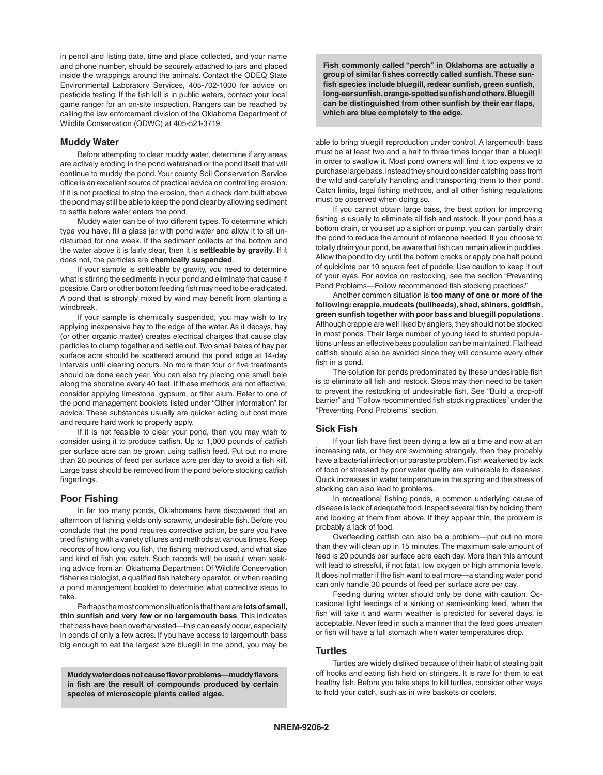in pencil and listing date, time and place collected, and your name and phone number, should be securely attached to jars and placed inside the wrappings around the animals. Contact the ODEQ State Environmental Laboratory Services, 405-702-1000 for advice on pesticide testing. If the fish kill is in public waters, contact your local game ranger for an on-site inspection. Rangers can be reached by calling the law enforcement division of the Oklahoma Department of Wildlife Conservation (ODWC) at 405-521-3719.

# **Muddy Water**

Before attempting to clear muddy water, determine if any areas are actively eroding in the pond watershed or the pond itself that will continue to muddy the pond. Your county Soil Conservation Service office is an excellent source of practical advice on controlling erosion. If it is not practical to stop the erosion, then a check dam built above the pond may still be able to keep the pond clear by allowing sediment to settle before water enters the pond.

Muddy water can be of two different types. To determine which type you have, fill a glass jar with pond water and allow it to sit undisturbed for one week. If the sediment collects at the bottom and the water above it is fairly clear, then it is **settleable by gravity**. If it does not, the particles are **chemically suspended**.

If your sample is settleable by gravity, you need to determine what is stirring the sediments in your pond and eliminate that cause if possible. Carp or other bottom feeding fish may need to be eradicated. A pond that is strongly mixed by wind may benefit from planting a windbreak.

If your sample is chemically suspended, you may wish to try applying inexpensive hay to the edge of the water. As it decays, hay (or other organic matter) creates electrical charges that cause clay particles to clump together and settle out. Two small bales of hay per surface acre should be scattered around the pond edge at 14-day intervals until clearing occurs. No more than four or five treatments should be done each year. You can also try placing one small bale along the shoreline every 40 feet. If these methods are not effective, consider applying limestone, gypsum, or filter alum. Refer to one of the pond management booklets listed under "Other Information" for advice. These substances usually are quicker acting but cost more and require hard work to properly apply.

If it is not feasible to clear your pond, then you may wish to consider using it to produce catfish. Up to 1,000 pounds of catfish per surface acre can be grown using catfish feed. Put out no more than 20 pounds of feed per surface acre per day to avoid a fish kill. Large bass should be removed from the pond before stocking catfish fingerlings.

# **Poor Fishing**

In far too many ponds, Oklahomans have discovered that an afternoon of fishing yields only scrawny, undesirable fish. Before you conclude that the pond requires corrective action, be sure you have tried fishing with a variety of lures and methods at various times. Keep records of how long you fish, the fishing method used, and what size and kind of fish you catch. Such records will be useful when seeking advice from an Oklahoma Department Of Wildlife Conservation fisheries biologist, a qualified fish hatchery operator, or when reading a pond management booklet to determine what corrective steps to take.

Perhaps the most common situation is that there are **lots of small, thin sunfish and very few or no largemouth bass**. This indicates that bass have been overharvested—this can easily occur, especially in ponds of only a few acres. If you have access to largemouth bass big enough to eat the largest size bluegill in the pond, you may be

**Muddy water does not cause flavor problems—muddy flavors in fish are the result of compounds produced by certain species of microscopic plants called algae.** 

**Fish commonly called "perch" in Oklahoma are actually a group of similar fishes correctly called sunfish. These sunfish species include bluegill, redear sunfish, green sunfish, long-ear sunfish, orange-spotted sunfish and others. Bluegill can be distinguished from other sunfish by their ear flaps, which are blue completely to the edge.** 

able to bring bluegill reproduction under control. A largemouth bass must be at least two and a half to three times longer than a bluegill in order to swallow it. Most pond owners will find it too expensive to purchase large bass. Instead they should consider catching bass from the wild and carefully handling and transporting them to their pond. Catch limits, legal fishing methods, and all other fishing regulations must be observed when doing so.

If you cannot obtain large bass, the best option for improving fishing is usually to eliminate all fish and restock. If your pond has a bottom drain, or you set up a siphon or pump, you can partially drain the pond to reduce the amount of rotenone needed. If you choose to totally drain your pond, be aware that fish can remain alive in puddles. Allow the pond to dry until the bottom cracks or apply one half pound of quicklime per 10 square feet of puddle. Use caution to keep it out of your eyes. For advice on restocking, see the section "Preventing Pond Problems—Follow recommended fish stocking practices."

Another common situation is **too many of one or more of the following: crappie, mudcats (bullheads), shad, shiners, goldfish, green sunfish together with poor bass and bluegill populations**. Although crappie are well liked by anglers, they should not be stocked in most ponds. Their large number of young lead to stunted populations unless an effective bass population can be maintained. Flathead catfish should also be avoided since they will consume every other fish in a pond.

The solution for ponds predominated by these undesirable fish is to eliminate all fish and restock. Steps may then need to be taken to prevent the restocking of undesirable fish. See "Build a drop-off barrier" and "Follow recommended fish stocking practices" under the "Preventing Pond Problems" section.

# **Sick Fish**

If your fish have first been dying a few at a time and now at an increasing rate, or they are swimming strangely, then they probably have a bacterial infection or parasite problem. Fish weakened by lack of food or stressed by poor water quality are vulnerable to diseases. Quick increases in water temperature in the spring and the stress of stocking can also lead to problems.

In recreational fishing ponds, a common underlying cause of disease is lack of adequate food. Inspect several fish by holding them and looking at them from above. If they appear thin, the problem is probably a lack of food.

Overfeeding catfish can also be a problem—put out no more than they will clean up in 15 minutes. The maximum safe amount of feed is 20 pounds per surface acre each day. More than this amount will lead to stressful, if not fatal, low oxygen or high ammonia levels. It does not matter if the fish want to eat more—a standing water pond can only handle 30 pounds of feed per surface acre per day.

Feeding during winter should only be done with caution. Occasional light feedings of a sinking or semi-sinking feed, when the fish will take it and warm weather is predicted for several days, is acceptable. Never feed in such a manner that the feed goes uneaten or fish will have a full stomach when water temperatures drop.

# **Turtles**

Turtles are widely disliked because of their habit of stealing bait off hooks and eating fish held on stringers. It is rare for them to eat healthy fish. Before you take steps to kill turtles, consider other ways to hold your catch, such as in wire baskets or coolers.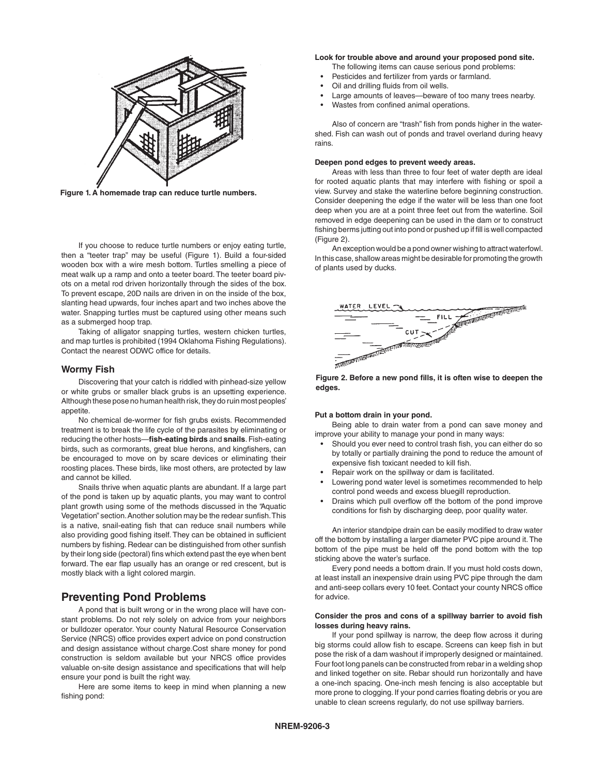

**Figure 1. A homemade trap can reduce turtle numbers.**

If you choose to reduce turtle numbers or enjoy eating turtle, then a "teeter trap" may be useful (Figure 1). Build a four-sided wooden box with a wire mesh bottom. Turtles smelling a piece of meat walk up a ramp and onto a teeter board. The teeter board pivots on a metal rod driven horizontally through the sides of the box. To prevent escape, 20D nails are driven in on the inside of the box, slanting head upwards, four inches apart and two inches above the water. Snapping turtles must be captured using other means such as a submerged hoop trap.

Taking of alligator snapping turtles, western chicken turtles, and map turtles is prohibited (1994 Oklahoma Fishing Regulations). Contact the nearest ODWC office for details.

# **Wormy Fish**

Discovering that your catch is riddled with pinhead-size yellow or white grubs or smaller black grubs is an upsetting experience. Although these pose no human health risk, they do ruin most peoples' appetite.

No chemical de-wormer for fish grubs exists. Recommended treatment is to break the life cycle of the parasites by eliminating or reducing the other hosts—**fish-eating birds** and **snails**. Fish-eating birds, such as cormorants, great blue herons, and kingfishers, can be encouraged to move on by scare devices or eliminating their roosting places. These birds, like most others, are protected by law and cannot be killed.

Snails thrive when aquatic plants are abundant. If a large part of the pond is taken up by aquatic plants, you may want to control plant growth using some of the methods discussed in the "Aquatic Vegetation" section. Another solution may be the redear sunfish. This is a native, snail-eating fish that can reduce snail numbers while also providing good fishing itself. They can be obtained in sufficient numbers by fishing. Redear can be distinguished from other sunfish by their long side (pectoral) fins which extend past the eye when bent forward. The ear flap usually has an orange or red crescent, but is mostly black with a light colored margin.

# **Preventing Pond Problems**

A pond that is built wrong or in the wrong place will have constant problems. Do not rely solely on advice from your neighbors or bulldozer operator. Your county Natural Resource Conservation Service (NRCS) office provides expert advice on pond construction and design assistance without charge.Cost share money for pond construction is seldom available but your NRCS office provides valuable on-site design assistance and specifications that will help ensure your pond is built the right way.

Here are some items to keep in mind when planning a new fishing pond:

# **Look for trouble above and around your proposed pond site.**

The following items can cause serious pond problems:

- Pesticides and fertilizer from yards or farmland.
- Oil and drilling fluids from oil wells.
- Large amounts of leaves--beware of too many trees nearby.
- Wastes from confined animal operations.

Also of concern are "trash" fish from ponds higher in the watershed. Fish can wash out of ponds and travel overland during heavy rains.

#### **Deepen pond edges to prevent weedy areas.**

Areas with less than three to four feet of water depth are ideal for rooted aquatic plants that may interfere with fishing or spoil a view. Survey and stake the waterline before beginning construction. Consider deepening the edge if the water will be less than one foot deep when you are at a point three feet out from the waterline. Soil removed in edge deepening can be used in the dam or to construct fishing berms jutting out into pond or pushed up if fill is well compacted (Figure 2).

An exception would be a pond owner wishing to attract waterfowl. In this case, shallow areas might be desirable for promoting the growth of plants used by ducks.



**Figure 2. Before a new pond fills, it is often wise to deepen the edges.** 

#### **Put a bottom drain in your pond.**

Being able to drain water from a pond can save money and improve your ability to manage your pond in many ways:

- Should you ever need to control trash fish, you can either do so by totally or partially draining the pond to reduce the amount of expensive fish toxicant needed to kill fish.
- Repair work on the spillway or dam is facilitated.
- Lowering pond water level is sometimes recommended to help control pond weeds and excess bluegill reproduction.
- Drains which pull overflow off the bottom of the pond improve conditions for fish by discharging deep, poor quality water.

An interior standpipe drain can be easily modified to draw water off the bottom by installing a larger diameter PVC pipe around it. The bottom of the pipe must be held off the pond bottom with the top sticking above the water's surface.

Every pond needs a bottom drain. If you must hold costs down, at least install an inexpensive drain using PVC pipe through the dam and anti-seep collars every 10 feet. Contact your county NRCS office for advice.

#### **Consider the pros and cons of a spillway barrier to avoid fish losses during heavy rains.**

If your pond spillway is narrow, the deep flow across it during big storms could allow fish to escape. Screens can keep fish in but pose the risk of a dam washout if improperly designed or maintained. Four foot long panels can be constructed from rebar in a welding shop and linked together on site. Rebar should run horizontally and have a one-inch spacing. One-inch mesh fencing is also acceptable but more prone to clogging. If your pond carries floating debris or you are unable to clean screens regularly, do not use spillway barriers.